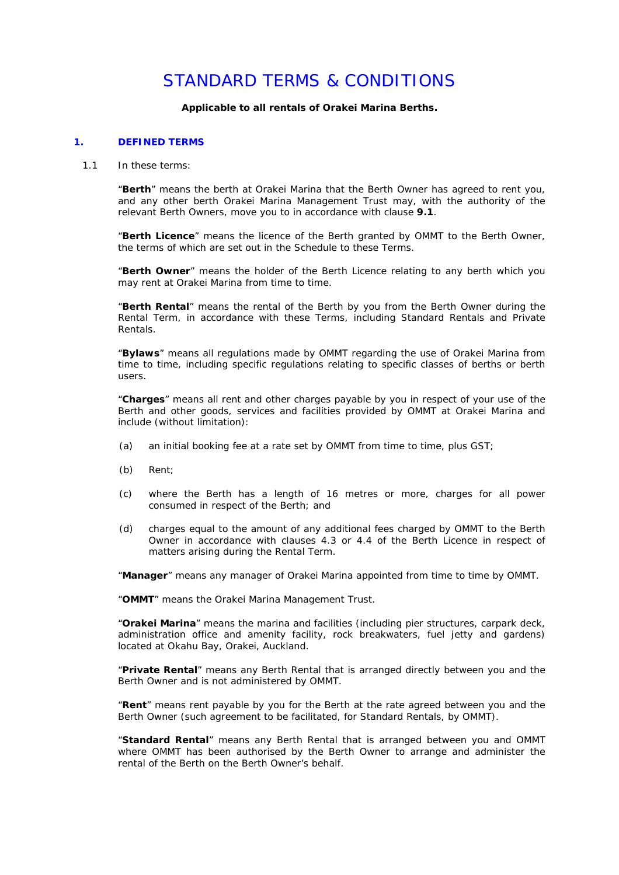# STANDARD TERMS & CONDITIONS

**Applicable to all rentals of Orakei Marina Berths.**

#### **1. DEFINED TERMS**

1.1 In these terms:

"**Berth**" means the berth at Orakei Marina that the Berth Owner has agreed to rent you, and any other berth Orakei Marina Management Trust may, with the authority of the relevant Berth Owners, move you to in accordance with clause **9.1**.

"**Berth Licence**" means the licence of the Berth granted by OMMT to the Berth Owner, the terms of which are set out in the Schedule to these Terms.

"**Berth Owner**" means the holder of the Berth Licence relating to any berth which you may rent at Orakei Marina from time to time.

"**Berth Rental**" means the rental of the Berth by you from the Berth Owner during the Rental Term, in accordance with these Terms, including Standard Rentals and Private Rentals.

"**Bylaws**" means all regulations made by OMMT regarding the use of Orakei Marina from time to time, including specific regulations relating to specific classes of berths or berth users.

"**Charges**" means all rent and other charges payable by you in respect of your use of the Berth and other goods, services and facilities provided by OMMT at Orakei Marina and include (without limitation):

- (a) an initial booking fee at a rate set by OMMT from time to time, plus GST;
- (b) Rent;
- (c) where the Berth has a length of 16 metres or more, charges for all power consumed in respect of the Berth; and
- (d) charges equal to the amount of any additional fees charged by OMMT to the Berth Owner in accordance with clauses 4.3 or 4.4 of the Berth Licence in respect of matters arising during the Rental Term.

"**Manager**" means any manager of Orakei Marina appointed from time to time by OMMT.

"**OMMT**" means the Orakei Marina Management Trust.

"**Orakei Marina**" means the marina and facilities (including pier structures, carpark deck, administration office and amenity facility, rock breakwaters, fuel jetty and gardens) located at Okahu Bay, Orakei, Auckland.

"**Private Rental**" means any Berth Rental that is arranged directly between you and the Berth Owner and is not administered by OMMT.

"**Rent**" means rent payable by you for the Berth at the rate agreed between you and the Berth Owner (such agreement to be facilitated, for Standard Rentals, by OMMT).

"**Standard Rental**" means any Berth Rental that is arranged between you and OMMT where OMMT has been authorised by the Berth Owner to arrange and administer the rental of the Berth on the Berth Owner's behalf.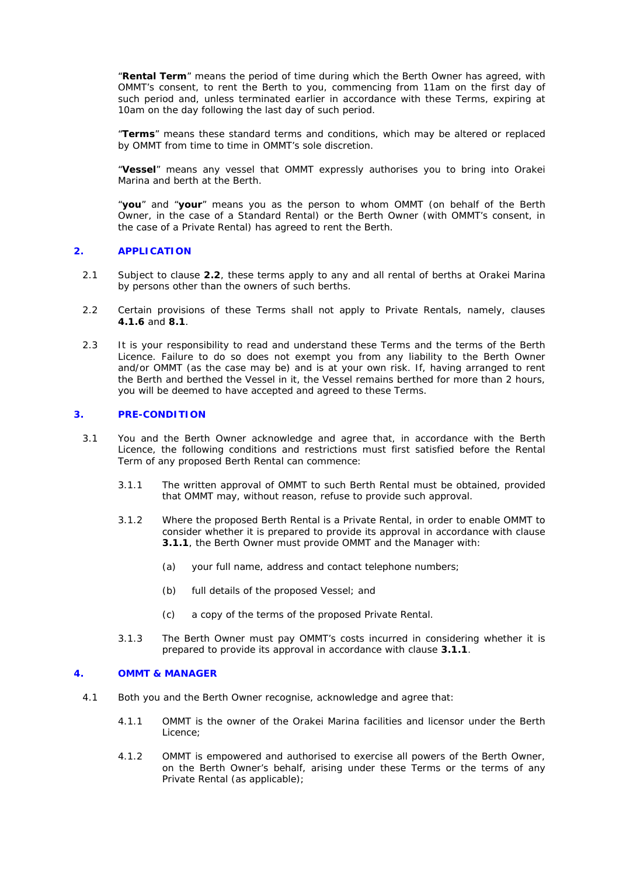"**Rental Term**" means the period of time during which the Berth Owner has agreed, with OMMT's consent, to rent the Berth to you, commencing from 11am on the first day of such period and, unless terminated earlier in accordance with these Terms, expiring at 10am on the day following the last day of such period.

"**Terms**" means these standard terms and conditions, which may be altered or replaced by OMMT from time to time in OMMT's sole discretion.

"**Vessel**" means any vessel that OMMT expressly authorises you to bring into Orakei Marina and berth at the Berth.

"**you**" and "**your**" means you as the person to whom OMMT (on behalf of the Berth Owner, in the case of a Standard Rental) or the Berth Owner (with OMMT's consent, in the case of a Private Rental) has agreed to rent the Berth.

## **2. APPLICATION**

- 2.1 Subject to clause **2.2**, these terms apply to any and all rental of berths at Orakei Marina by persons other than the owners of such berths.
- 2.2 Certain provisions of these Terms shall not apply to Private Rentals, namely, clauses **4.1.6** and **8.1**.
- 2.3 It is your responsibility to read and understand these Terms and the terms of the Berth Licence. Failure to do so does not exempt you from any liability to the Berth Owner and/or OMMT (as the case may be) and is at your own risk. If, having arranged to rent the Berth and berthed the Vessel in it, the Vessel remains berthed for more than 2 hours, you will be deemed to have accepted and agreed to these Terms.

## **3. PRE-CONDITION**

- 3.1 You and the Berth Owner acknowledge and agree that, in accordance with the Berth Licence, the following conditions and restrictions must first satisfied before the Rental Term of any proposed Berth Rental can commence:
	- 3.1.1 The written approval of OMMT to such Berth Rental must be obtained, provided that OMMT may, without reason, refuse to provide such approval.
	- 3.1.2 Where the proposed Berth Rental is a Private Rental, in order to enable OMMT to consider whether it is prepared to provide its approval in accordance with clause **3.1.1**, the Berth Owner must provide OMMT and the Manager with:
		- (a) your full name, address and contact telephone numbers;
		- (b) full details of the proposed Vessel; and
		- (c) a copy of the terms of the proposed Private Rental.
	- 3.1.3 The Berth Owner must pay OMMT's costs incurred in considering whether it is prepared to provide its approval in accordance with clause **3.1.1**.

#### **4. OMMT & MANAGER**

- 4.1 Both you and the Berth Owner recognise, acknowledge and agree that:
	- 4.1.1 OMMT is the owner of the Orakei Marina facilities and licensor under the Berth Licence;
	- 4.1.2 OMMT is empowered and authorised to exercise all powers of the Berth Owner, on the Berth Owner's behalf, arising under these Terms or the terms of any Private Rental (as applicable);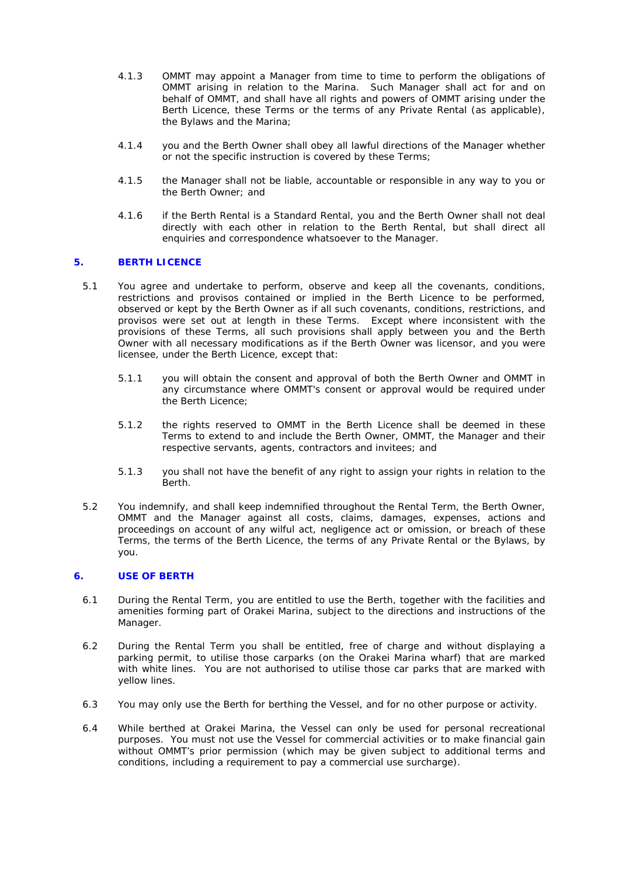- 4.1.3 OMMT may appoint a Manager from time to time to perform the obligations of OMMT arising in relation to the Marina. Such Manager shall act for and on behalf of OMMT, and shall have all rights and powers of OMMT arising under the Berth Licence, these Terms or the terms of any Private Rental (as applicable), the Bylaws and the Marina;
- 4.1.4 you and the Berth Owner shall obey all lawful directions of the Manager whether or not the specific instruction is covered by these Terms;
- 4.1.5 the Manager shall not be liable, accountable or responsible in any way to you or the Berth Owner; and
- 4.1.6 if the Berth Rental is a Standard Rental, you and the Berth Owner shall not deal directly with each other in relation to the Berth Rental, but shall direct all enquiries and correspondence whatsoever to the Manager.

## **5. BERTH LICENCE**

- 5.1 You agree and undertake to perform, observe and keep all the covenants, conditions, restrictions and provisos contained or implied in the Berth Licence to be performed, observed or kept by the Berth Owner as if all such covenants, conditions, restrictions, and provisos were set out at length in these Terms. Except where inconsistent with the provisions of these Terms, all such provisions shall apply between you and the Berth Owner with all necessary modifications as if the Berth Owner was licensor, and you were licensee, under the Berth Licence, except that:
	- 5.1.1 you will obtain the consent and approval of both the Berth Owner and OMMT in any circumstance where OMMT's consent or approval would be required under the Berth Licence;
	- 5.1.2 the rights reserved to OMMT in the Berth Licence shall be deemed in these Terms to extend to and include the Berth Owner, OMMT, the Manager and their respective servants, agents, contractors and invitees; and
	- 5.1.3 you shall not have the benefit of any right to assign your rights in relation to the **Berth**
- 5.2 You indemnify, and shall keep indemnified throughout the Rental Term, the Berth Owner, OMMT and the Manager against all costs, claims, damages, expenses, actions and proceedings on account of any wilful act, negligence act or omission, or breach of these Terms, the terms of the Berth Licence, the terms of any Private Rental or the Bylaws, by you.

## **6. USE OF BERTH**

- 6.1 During the Rental Term, you are entitled to use the Berth, together with the facilities and amenities forming part of Orakei Marina, subject to the directions and instructions of the Manager.
- 6.2 During the Rental Term you shall be entitled, free of charge and without displaying a parking permit, to utilise those carparks (on the Orakei Marina wharf) that are marked with white lines. You are not authorised to utilise those car parks that are marked with yellow lines.
- 6.3 You may only use the Berth for berthing the Vessel, and for no other purpose or activity.
- 6.4 While berthed at Orakei Marina, the Vessel can only be used for personal recreational purposes. You must not use the Vessel for commercial activities or to make financial gain without OMMT's prior permission (which may be given subject to additional terms and conditions, including a requirement to pay a commercial use surcharge).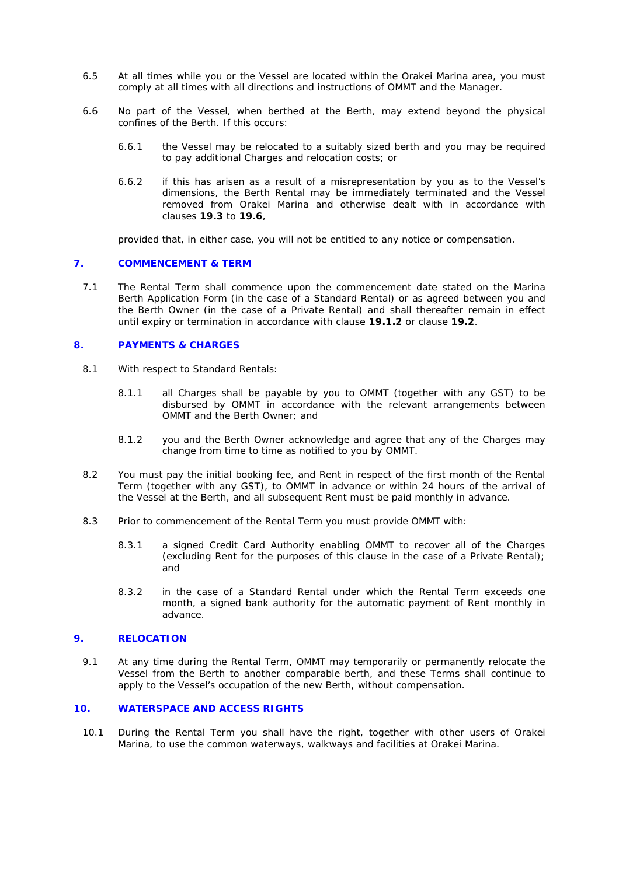- 6.5 At all times while you or the Vessel are located within the Orakei Marina area, you must comply at all times with all directions and instructions of OMMT and the Manager.
- 6.6 No part of the Vessel, when berthed at the Berth, may extend beyond the physical confines of the Berth. If this occurs:
	- 6.6.1 the Vessel may be relocated to a suitably sized berth and you may be required to pay additional Charges and relocation costs; or
	- 6.6.2 if this has arisen as a result of a misrepresentation by you as to the Vessel's dimensions, the Berth Rental may be immediately terminated and the Vessel removed from Orakei Marina and otherwise dealt with in accordance with clauses **19.3** to **19.6**,

provided that, in either case, you will not be entitled to any notice or compensation.

#### **7. COMMENCEMENT & TERM**

7.1 The Rental Term shall commence upon the commencement date stated on the Marina Berth Application Form (in the case of a Standard Rental) or as agreed between you and the Berth Owner (in the case of a Private Rental) and shall thereafter remain in effect until expiry or termination in accordance with clause **19.1.2** or clause **19.2**.

#### **8. PAYMENTS & CHARGES**

- 8.1 With respect to Standard Rentals:
	- 8.1.1 all Charges shall be payable by you to OMMT (together with any GST) to be disbursed by OMMT in accordance with the relevant arrangements between OMMT and the Berth Owner; and
	- 8.1.2 you and the Berth Owner acknowledge and agree that any of the Charges may change from time to time as notified to you by OMMT.
- 8.2 You must pay the initial booking fee, and Rent in respect of the first month of the Rental Term (together with any GST), to OMMT in advance or within 24 hours of the arrival of the Vessel at the Berth, and all subsequent Rent must be paid monthly in advance.
- 8.3 Prior to commencement of the Rental Term you must provide OMMT with:
	- 8.3.1 a signed Credit Card Authority enabling OMMT to recover all of the Charges (excluding Rent for the purposes of this clause in the case of a Private Rental); and
	- 8.3.2 in the case of a Standard Rental under which the Rental Term exceeds one month, a signed bank authority for the automatic payment of Rent monthly in advance.

#### **9. RELOCATION**

9.1 At any time during the Rental Term, OMMT may temporarily or permanently relocate the Vessel from the Berth to another comparable berth, and these Terms shall continue to apply to the Vessel's occupation of the new Berth, without compensation.

#### **10. WATERSPACE AND ACCESS RIGHTS**

10.1 During the Rental Term you shall have the right, together with other users of Orakei Marina, to use the common waterways, walkways and facilities at Orakei Marina.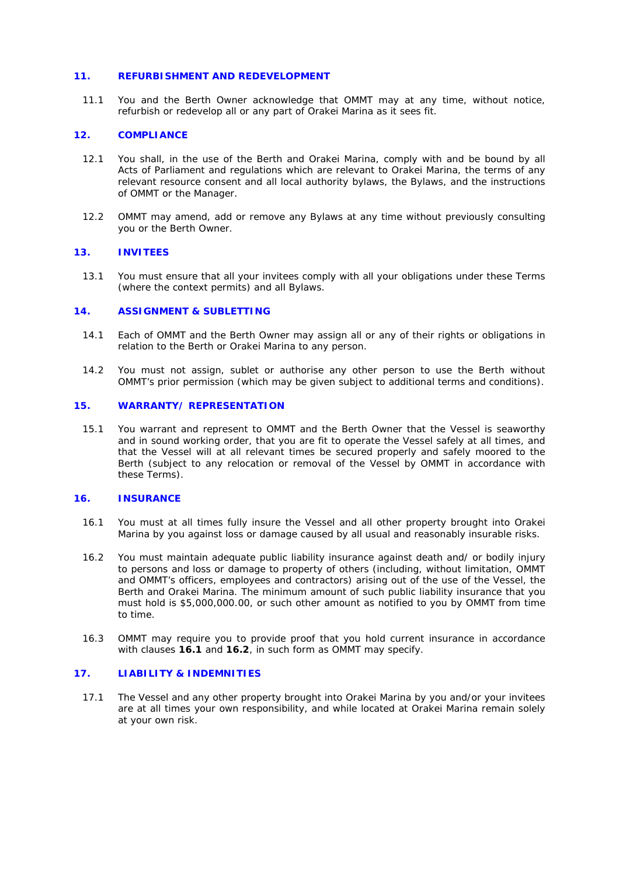## **11. REFURBISHMENT AND REDEVELOPMENT**

11.1 You and the Berth Owner acknowledge that OMMT may at any time, without notice, refurbish or redevelop all or any part of Orakei Marina as it sees fit.

## **12. COMPLIANCE**

- 12.1 You shall, in the use of the Berth and Orakei Marina, comply with and be bound by all Acts of Parliament and regulations which are relevant to Orakei Marina, the terms of any relevant resource consent and all local authority bylaws, the Bylaws, and the instructions of OMMT or the Manager.
- 12.2 OMMT may amend, add or remove any Bylaws at any time without previously consulting you or the Berth Owner.

## **13. INVITEES**

13.1 You must ensure that all your invitees comply with all your obligations under these Terms (where the context permits) and all Bylaws.

## **14. ASSIGNMENT & SUBLETTING**

- 14.1 Each of OMMT and the Berth Owner may assign all or any of their rights or obligations in relation to the Berth or Orakei Marina to any person.
- 14.2 You must not assign, sublet or authorise any other person to use the Berth without OMMT's prior permission (which may be given subject to additional terms and conditions).

## **15. WARRANTY/ REPRESENTATION**

15.1 You warrant and represent to OMMT and the Berth Owner that the Vessel is seaworthy and in sound working order, that you are fit to operate the Vessel safely at all times, and that the Vessel will at all relevant times be secured properly and safely moored to the Berth (subject to any relocation or removal of the Vessel by OMMT in accordance with these Terms).

#### **16. INSURANCE**

- 16.1 You must at all times fully insure the Vessel and all other property brought into Orakei Marina by you against loss or damage caused by all usual and reasonably insurable risks.
- 16.2 You must maintain adequate public liability insurance against death and/ or bodily injury to persons and loss or damage to property of others (including, without limitation, OMMT and OMMT's officers, employees and contractors) arising out of the use of the Vessel, the Berth and Orakei Marina. The minimum amount of such public liability insurance that you must hold is \$5,000,000.00, or such other amount as notified to you by OMMT from time to time.
- 16.3 OMMT may require you to provide proof that you hold current insurance in accordance with clauses **16.1** and **16.2**, in such form as OMMT may specify.

#### **17. LIABILITY & INDEMNITIES**

17.1 The Vessel and any other property brought into Orakei Marina by you and/or your invitees are at all times your own responsibility, and while located at Orakei Marina remain solely at your own risk.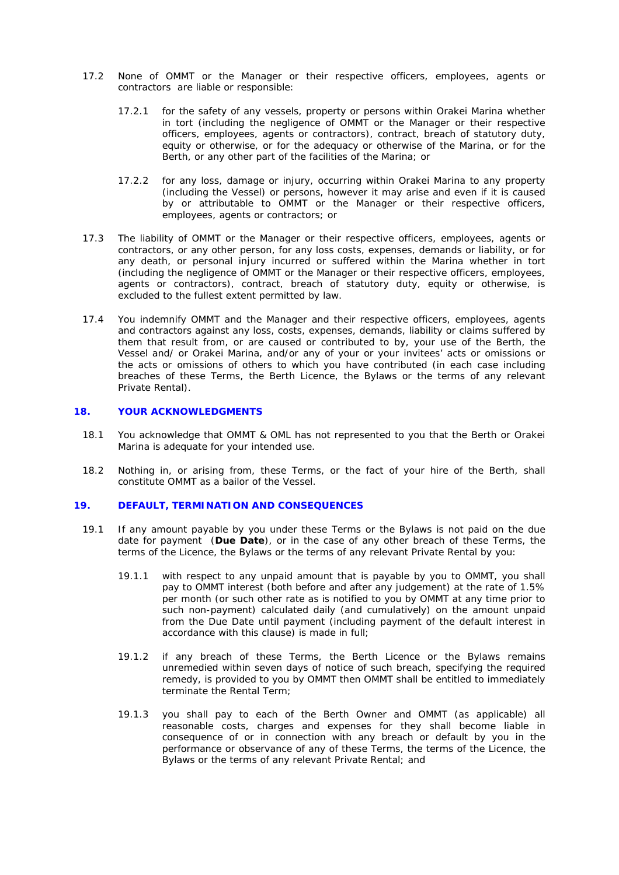- 17.2 None of OMMT or the Manager or their respective officers, employees, agents or contractors are liable or responsible:
	- 17.2.1 for the safety of any vessels, property or persons within Orakei Marina whether in tort (including the negligence of OMMT or the Manager or their respective officers, employees, agents or contractors), contract, breach of statutory duty, equity or otherwise, or for the adequacy or otherwise of the Marina, or for the Berth, or any other part of the facilities of the Marina; or
	- 17.2.2 for any loss, damage or injury, occurring within Orakei Marina to any property (including the Vessel) or persons, however it may arise and even if it is caused by or attributable to OMMT or the Manager or their respective officers, employees, agents or contractors; or
- 17.3 The liability of OMMT or the Manager or their respective officers, employees, agents or contractors, or any other person, for any loss costs, expenses, demands or liability, or for any death, or personal injury incurred or suffered within the Marina whether in tort (including the negligence of OMMT or the Manager or their respective officers, employees, agents or contractors), contract, breach of statutory duty, equity or otherwise, is excluded to the fullest extent permitted by law.
- 17.4 You indemnify OMMT and the Manager and their respective officers, employees, agents and contractors against any loss, costs, expenses, demands, liability or claims suffered by them that result from, or are caused or contributed to by, your use of the Berth, the Vessel and/ or Orakei Marina, and/or any of your or your invitees' acts or omissions or the acts or omissions of others to which you have contributed (in each case including breaches of these Terms, the Berth Licence, the Bylaws or the terms of any relevant Private Rental).

## **18. YOUR ACKNOWLEDGMENTS**

- 18.1 You acknowledge that OMMT & OML has not represented to you that the Berth or Orakei Marina is adequate for your intended use.
- 18.2 Nothing in, or arising from, these Terms, or the fact of your hire of the Berth, shall constitute OMMT as a bailor of the Vessel.

## **19. DEFAULT, TERMINATION AND CONSEQUENCES**

- 19.1 If any amount payable by you under these Terms or the Bylaws is not paid on the due date for payment (**Due Date**), or in the case of any other breach of these Terms, the terms of the Licence, the Bylaws or the terms of any relevant Private Rental by you:
	- 19.1.1 with respect to any unpaid amount that is payable by you to OMMT, you shall pay to OMMT interest (both before and after any judgement) at the rate of 1.5% per month (or such other rate as is notified to you by OMMT at any time prior to such non-payment) calculated daily (and cumulatively) on the amount unpaid from the Due Date until payment (including payment of the default interest in accordance with this clause) is made in full;
	- 19.1.2 if any breach of these Terms, the Berth Licence or the Bylaws remains unremedied within seven days of notice of such breach, specifying the required remedy, is provided to you by OMMT then OMMT shall be entitled to immediately terminate the Rental Term;
	- 19.1.3 you shall pay to each of the Berth Owner and OMMT (as applicable) all reasonable costs, charges and expenses for they shall become liable in consequence of or in connection with any breach or default by you in the performance or observance of any of these Terms, the terms of the Licence, the Bylaws or the terms of any relevant Private Rental; and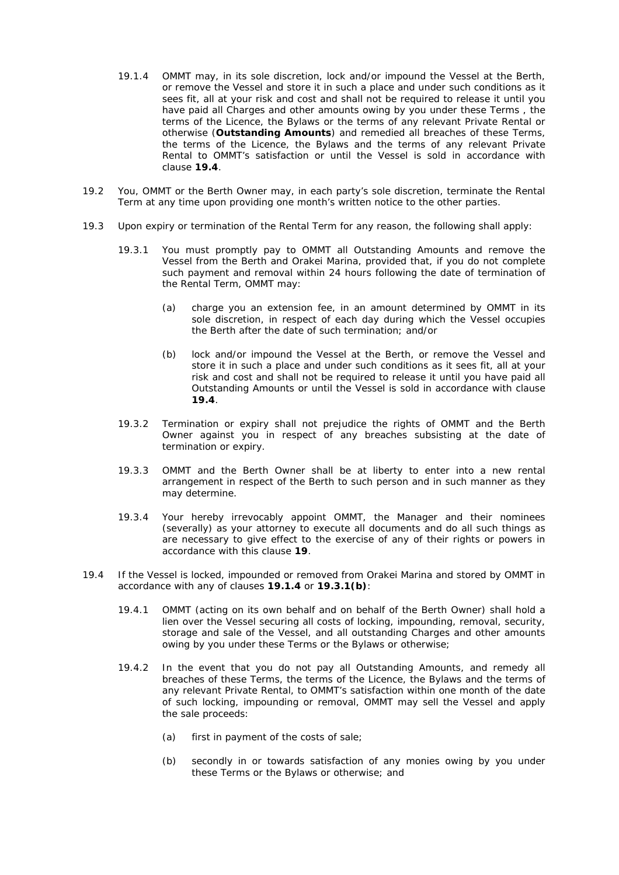- 19.1.4 OMMT may, in its sole discretion, lock and/or impound the Vessel at the Berth, or remove the Vessel and store it in such a place and under such conditions as it sees fit, all at your risk and cost and shall not be required to release it until you have paid all Charges and other amounts owing by you under these Terms , the terms of the Licence, the Bylaws or the terms of any relevant Private Rental or otherwise (**Outstanding Amounts**) and remedied all breaches of these Terms, the terms of the Licence, the Bylaws and the terms of any relevant Private Rental to OMMT's satisfaction or until the Vessel is sold in accordance with clause **19.4**.
- 19.2 You, OMMT or the Berth Owner may, in each party's sole discretion, terminate the Rental Term at any time upon providing one month's written notice to the other parties.
- 19.3 Upon expiry or termination of the Rental Term for any reason, the following shall apply:
	- 19.3.1 You must promptly pay to OMMT all Outstanding Amounts and remove the Vessel from the Berth and Orakei Marina, provided that, if you do not complete such payment and removal within 24 hours following the date of termination of the Rental Term, OMMT may:
		- (a) charge you an extension fee, in an amount determined by OMMT in its sole discretion, in respect of each day during which the Vessel occupies the Berth after the date of such termination; and/or
		- (b) lock and/or impound the Vessel at the Berth, or remove the Vessel and store it in such a place and under such conditions as it sees fit, all at your risk and cost and shall not be required to release it until you have paid all Outstanding Amounts or until the Vessel is sold in accordance with clause **19.4**.
	- 19.3.2 Termination or expiry shall not prejudice the rights of OMMT and the Berth Owner against you in respect of any breaches subsisting at the date of termination or expiry.
	- 19.3.3 OMMT and the Berth Owner shall be at liberty to enter into a new rental arrangement in respect of the Berth to such person and in such manner as they may determine.
	- 19.3.4 Your hereby irrevocably appoint OMMT, the Manager and their nominees (severally) as your attorney to execute all documents and do all such things as are necessary to give effect to the exercise of any of their rights or powers in accordance with this clause **19**.
- 19.4 If the Vessel is locked, impounded or removed from Orakei Marina and stored by OMMT in accordance with any of clauses **19.1.4** or **19.3.1(b)**:
	- 19.4.1 OMMT (acting on its own behalf and on behalf of the Berth Owner) shall hold a lien over the Vessel securing all costs of locking, impounding, removal, security, storage and sale of the Vessel, and all outstanding Charges and other amounts owing by you under these Terms or the Bylaws or otherwise;
	- 19.4.2 In the event that you do not pay all Outstanding Amounts, and remedy all breaches of these Terms, the terms of the Licence, the Bylaws and the terms of any relevant Private Rental, to OMMT's satisfaction within one month of the date of such locking, impounding or removal, OMMT may sell the Vessel and apply the sale proceeds:
		- (a) first in payment of the costs of sale;
		- (b) secondly in or towards satisfaction of any monies owing by you under these Terms or the Bylaws or otherwise; and